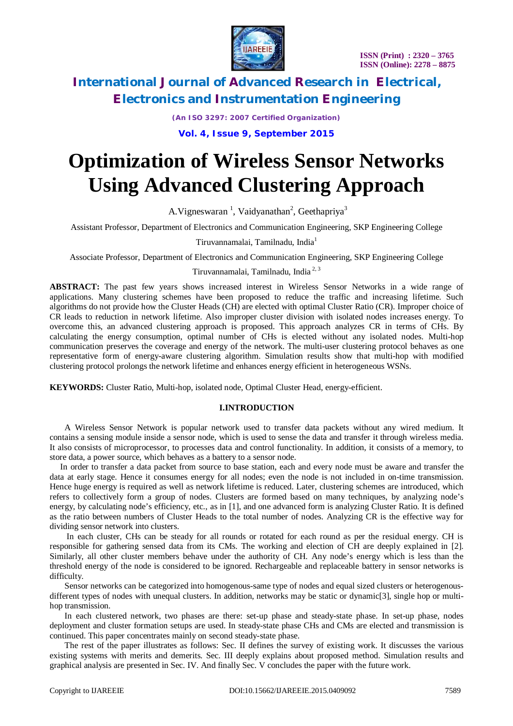

*(An ISO 3297: 2007 Certified Organization)*

**Vol. 4, Issue 9, September 2015**

# **Optimization of Wireless Sensor Networks Using Advanced Clustering Approach**

A. Vigneswaran<sup>1</sup>, Vaidyanathan<sup>2</sup>, Geethapriya<sup>3</sup>

Assistant Professor, Department of Electronics and Communication Engineering, SKP Engineering College

Tiruvannamalai, Tamilnadu, India<sup>1</sup>

Associate Professor, Department of Electronics and Communication Engineering, SKP Engineering College

# Tiruvannamalai, Tamilnadu, India 2, 3

**ABSTRACT:** The past few years shows increased interest in Wireless Sensor Networks in a wide range of applications. Many clustering schemes have been proposed to reduce the traffic and increasing lifetime. Such algorithms do not provide how the Cluster Heads (CH) are elected with optimal Cluster Ratio (CR). Improper choice of CR leads to reduction in network lifetime. Also improper cluster division with isolated nodes increases energy. To overcome this, an advanced clustering approach is proposed. This approach analyzes CR in terms of CHs. By calculating the energy consumption, optimal number of CHs is elected without any isolated nodes. Multi-hop communication preserves the coverage and energy of the network. The multi-user clustering protocol behaves as one representative form of energy-aware clustering algorithm. Simulation results show that multi-hop with modified clustering protocol prolongs the network lifetime and enhances energy efficient in heterogeneous WSNs.

**KEYWORDS:** Cluster Ratio, Multi-hop, isolated node, Optimal Cluster Head, energy-efficient.

### **I.INTRODUCTION**

 A Wireless Sensor Network is popular network used to transfer data packets without any wired medium. It contains a sensing module inside a sensor node, which is used to sense the data and transfer it through wireless media. It also consists of microprocessor, to processes data and control functionality. In addition, it consists of a memory, to store data, a power source, which behaves as a battery to a sensor node.

 In order to transfer a data packet from source to base station, each and every node must be aware and transfer the data at early stage. Hence it consumes energy for all nodes; even the node is not included in on-time transmission. Hence huge energy is required as well as network lifetime is reduced. Later, clustering schemes are introduced, which refers to collectively form a group of nodes. Clusters are formed based on many techniques, by analyzing node's energy, by calculating node's efficiency, etc., as in [1], and one advanced form is analyzing Cluster Ratio. It is defined as the ratio between numbers of Cluster Heads to the total number of nodes. Analyzing CR is the effective way for dividing sensor network into clusters.

 In each cluster, CHs can be steady for all rounds or rotated for each round as per the residual energy. CH is responsible for gathering sensed data from its CMs. The working and election of CH are deeply explained in [2]. Similarly, all other cluster members behave under the authority of CH. Any node's energy which is less than the threshold energy of the node is considered to be ignored. Rechargeable and replaceable battery in sensor networks is difficulty.

 Sensor networks can be categorized into homogenous-same type of nodes and equal sized clusters or heterogenousdifferent types of nodes with unequal clusters. In addition, networks may be static or dynamic[3], single hop or multihop transmission.

 In each clustered network, two phases are there: set-up phase and steady-state phase. In set-up phase, nodes deployment and cluster formation setups are used. In steady-state phase CHs and CMs are elected and transmission is continued. This paper concentrates mainly on second steady-state phase.

 The rest of the paper illustrates as follows: Sec. II defines the survey of existing work. It discusses the various existing systems with merits and demerits. Sec. III deeply explains about proposed method. Simulation results and graphical analysis are presented in Sec. IV. And finally Sec. V concludes the paper with the future work.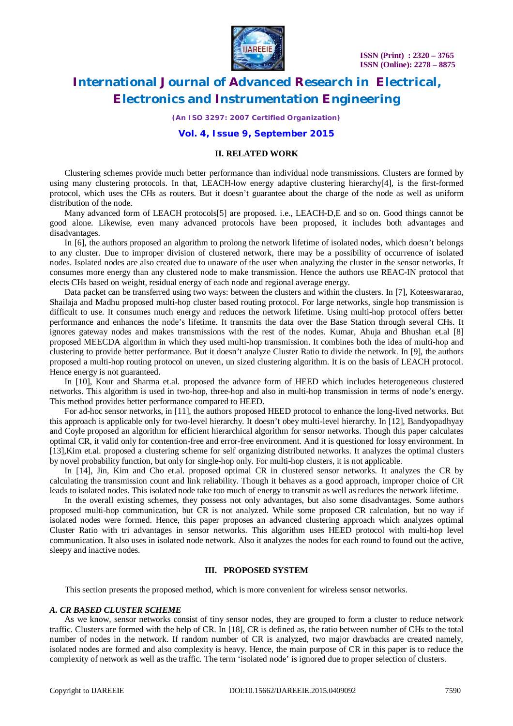

*(An ISO 3297: 2007 Certified Organization)*

### **Vol. 4, Issue 9, September 2015**

### **II. RELATED WORK**

 Clustering schemes provide much better performance than individual node transmissions. Clusters are formed by using many clustering protocols. In that, LEACH-low energy adaptive clustering hierarchy[4], is the first-formed protocol, which uses the CHs as routers. But it doesn't guarantee about the charge of the node as well as uniform distribution of the node.

Many advanced form of LEACH protocols[5] are proposed. i.e., LEACH-D, E and so on. Good things cannot be good alone. Likewise, even many advanced protocols have been proposed, it includes both advantages and disadvantages.

 In [6], the authors proposed an algorithm to prolong the network lifetime of isolated nodes, which doesn't belongs to any cluster. Due to improper division of clustered network, there may be a possibility of occurrence of isolated nodes. Isolated nodes are also created due to unaware of the user when analyzing the cluster in the sensor networks. It consumes more energy than any clustered node to make transmission. Hence the authors use REAC-IN protocol that elects CHs based on weight, residual energy of each node and regional average energy.

 Data packet can be transferred using two ways: between the clusters and within the clusters. In [7], Koteeswararao, Shailaja and Madhu proposed multi-hop cluster based routing protocol. For large networks, single hop transmission is difficult to use. It consumes much energy and reduces the network lifetime. Using multi-hop protocol offers better performance and enhances the node's lifetime. It transmits the data over the Base Station through several CHs. It ignores gateway nodes and makes transmissions with the rest of the nodes. Kumar, Ahuja and Bhushan et.al [8] proposed MEECDA algorithm in which they used multi-hop transmission. It combines both the idea of multi-hop and clustering to provide better performance. But it doesn't analyze Cluster Ratio to divide the network. In [9], the authors proposed a multi-hop routing protocol on uneven, un sized clustering algorithm. It is on the basis of LEACH protocol. Hence energy is not guaranteed.

 In [10], Kour and Sharma et.al. proposed the advance form of HEED which includes heterogeneous clustered networks. This algorithm is used in two-hop, three-hop and also in multi-hop transmission in terms of node's energy. This method provides better performance compared to HEED.

 For ad-hoc sensor networks, in [11], the authors proposed HEED protocol to enhance the long-lived networks. But this approach is applicable only for two-level hierarchy. It doesn't obey multi-level hierarchy. In [12], Bandyopadhyay and Coyle proposed an algorithm for efficient hierarchical algorithm for sensor networks. Though this paper calculates optimal CR, it valid only for contention-free and error-free environment. And it is questioned for lossy environment. In [13],Kim et.al. proposed a clustering scheme for self organizing distributed networks. It analyzes the optimal clusters by novel probability function, but only for single-hop only. For multi-hop clusters, it is not applicable.

In [14], Jin, Kim and Cho et.al. proposed optimal CR in clustered sensor networks. It analyzes the CR by calculating the transmission count and link reliability. Though it behaves as a good approach, improper choice of CR leads to isolated nodes. This isolated node take too much of energy to transmit as well as reduces the network lifetime.

 In the overall existing schemes, they possess not only advantages, but also some disadvantages. Some authors proposed multi-hop communication, but CR is not analyzed. While some proposed CR calculation, but no way if isolated nodes were formed. Hence, this paper proposes an advanced clustering approach which analyzes optimal Cluster Ratio with tri advantages in sensor networks. This algorithm uses HEED protocol with multi-hop level communication. It also uses in isolated node network. Also it analyzes the nodes for each round to found out the active, sleepy and inactive nodes.

#### **III. PROPOSED SYSTEM**

This section presents the proposed method, which is more convenient for wireless sensor networks.

#### *A. CR BASED CLUSTER SCHEME*

 As we know, sensor networks consist of tiny sensor nodes, they are grouped to form a cluster to reduce network traffic. Clusters are formed with the help of CR. In [18], CR is defined as, the ratio between number of CHs to the total number of nodes in the network. If random number of CR is analyzed, two major drawbacks are created namely, isolated nodes are formed and also complexity is heavy. Hence, the main purpose of CR in this paper is to reduce the complexity of network as well as the traffic. The term 'isolated node' is ignored due to proper selection of clusters.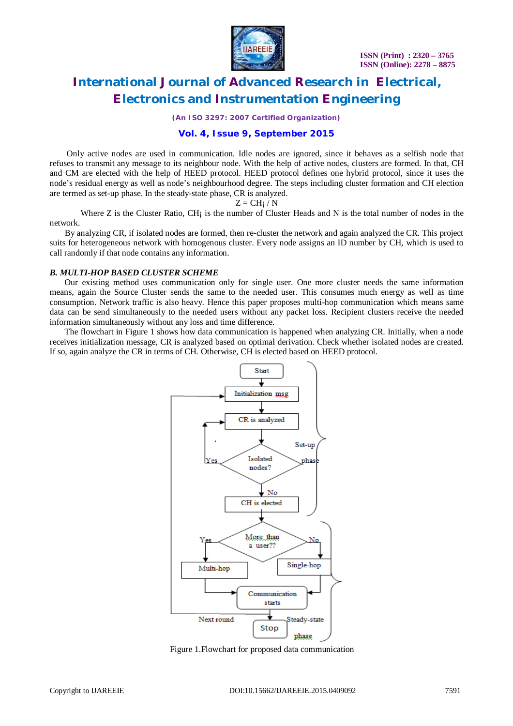

*(An ISO 3297: 2007 Certified Organization)*

### **Vol. 4, Issue 9, September 2015**

 Only active nodes are used in communication. Idle nodes are ignored, since it behaves as a selfish node that refuses to transmit any message to its neighbour node. With the help of active nodes, clusters are formed. In that, CH and CM are elected with the help of HEED protocol. HEED protocol defines one hybrid protocol, since it uses the node's residual energy as well as node's neighbourhood degree. The steps including cluster formation and CH election are termed as set-up phase. In the steady-state phase, CR is analyzed.

$$
Z = CH_i / N
$$

Where  $Z$  is the Cluster Ratio, CH $\mathbf{i}$  is the number of Cluster Heads and N is the total number of nodes in the network.

 By analyzing CR, if isolated nodes are formed, then re-cluster the network and again analyzed the CR. This project suits for heterogeneous network with homogenous cluster. Every node assigns an ID number by CH, which is used to call randomly if that node contains any information.

#### *B. MULTI-HOP BASED CLUSTER SCHEME*

 Our existing method uses communication only for single user. One more cluster needs the same information means, again the Source Cluster sends the same to the needed user. This consumes much energy as well as time consumption. Network traffic is also heavy. Hence this paper proposes multi-hop communication which means same data can be send simultaneously to the needed users without any packet loss. Recipient clusters receive the needed information simultaneously without any loss and time difference.

 The flowchart in Figure 1 shows how data communication is happened when analyzing CR. Initially, when a node receives initialization message, CR is analyzed based on optimal derivation. Check whether isolated nodes are created. If so, again analyze the CR in terms of CH. Otherwise, CH is elected based on HEED protocol.



Figure 1.Flowchart for proposed data communication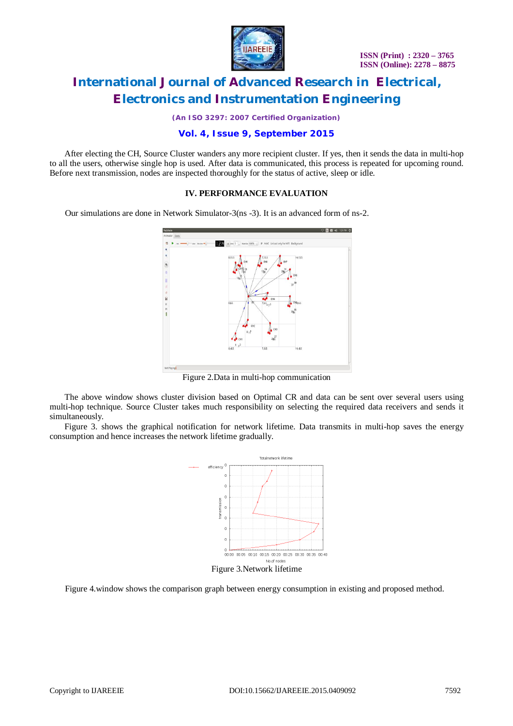

*(An ISO 3297: 2007 Certified Organization)*

## **Vol. 4, Issue 9, September 2015**

 After electing the CH, Source Cluster wanders any more recipient cluster. If yes, then it sends the data in multi-hop to all the users, otherwise single hop is used. After data is communicated, this process is repeated for upcoming round. Before next transmission, nodes are inspected thoroughly for the status of active, sleep or idle.

### **IV. PERFORMANCE EVALUATION**

Our simulations are done in Network Simulator-3(ns -3). It is an advanced form of ns-2.



Figure 2.Data in multi-hop communication

 The above window shows cluster division based on Optimal CR and data can be sent over several users using multi-hop technique. Source Cluster takes much responsibility on selecting the required data receivers and sends it simultaneously.

 Figure 3. shows the graphical notification for network lifetime. Data transmits in multi-hop saves the energy consumption and hence increases the network lifetime gradually.



Figure 4.window shows the comparison graph between energy consumption in existing and proposed method.